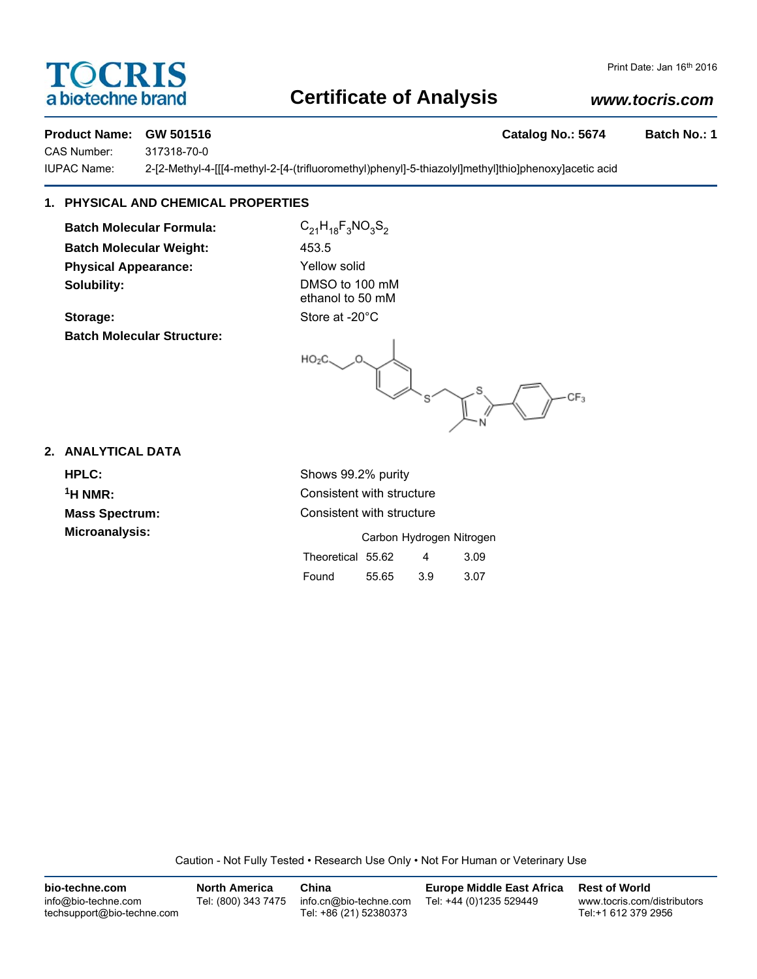### TOCRIS a biotechne brand

### **Certificate of Analysis**

#### *www.tocris.com*

#### **Product Name: GW 501516 Catalog No.: 5674 Batch No.: 1**

CAS Number: 317318-70-0

IUPAC Name: 2-[2-Methyl-4-[[[4-methyl-2-[4-(trifluoromethyl)phenyl]-5-thiazolyl]methyl]thio]phenoxy]acetic acid

#### **1. PHYSICAL AND CHEMICAL PROPERTIES**

**Batch Molecular Formula:** C<sub>21</sub>H<sub>18</sub>F<sub>3</sub>NO<sub>3</sub>S<sub>2</sub> **Batch Molecular Weight:** 453.5 **Physical Appearance:** Yellow solid **Solubility:** DMSO to 100 mM

**Storage:** Store at -20°C **Batch Molecular Structure:**

ethanol to 50 mM

 $HO<sub>2</sub>C$  $\mathbf{s}^{\prime}$  $CF<sub>3</sub>$ 

#### **2. ANALYTICAL DATA**

**HPLC:** Shows 99.2% purity **Microanalysis:** 

**1H NMR:** Consistent with structure **Mass Spectrum:** Consistent with structure

|                   |       | Carbon Hydrogen Nitrogen |      |
|-------------------|-------|--------------------------|------|
| Theoretical 55.62 |       | 4                        | 3.09 |
| Found             | 55.65 | 3.9                      | 3.07 |

Caution - Not Fully Tested • Research Use Only • Not For Human or Veterinary Use

| bio-techne.com                                    | <b>North America</b> | China                                            | <b>Europe Middle East Africa</b> | <b>Rest of World</b>                               |
|---------------------------------------------------|----------------------|--------------------------------------------------|----------------------------------|----------------------------------------------------|
| info@bio-techne.com<br>techsupport@bio-techne.com | Tel: (800) 343 7475  | info.cn@bio-techne.com<br>Tel: +86 (21) 52380373 | Tel: +44 (0)1235 529449          | www.tocris.com/distributors<br>Tel:+1 612 379 2956 |